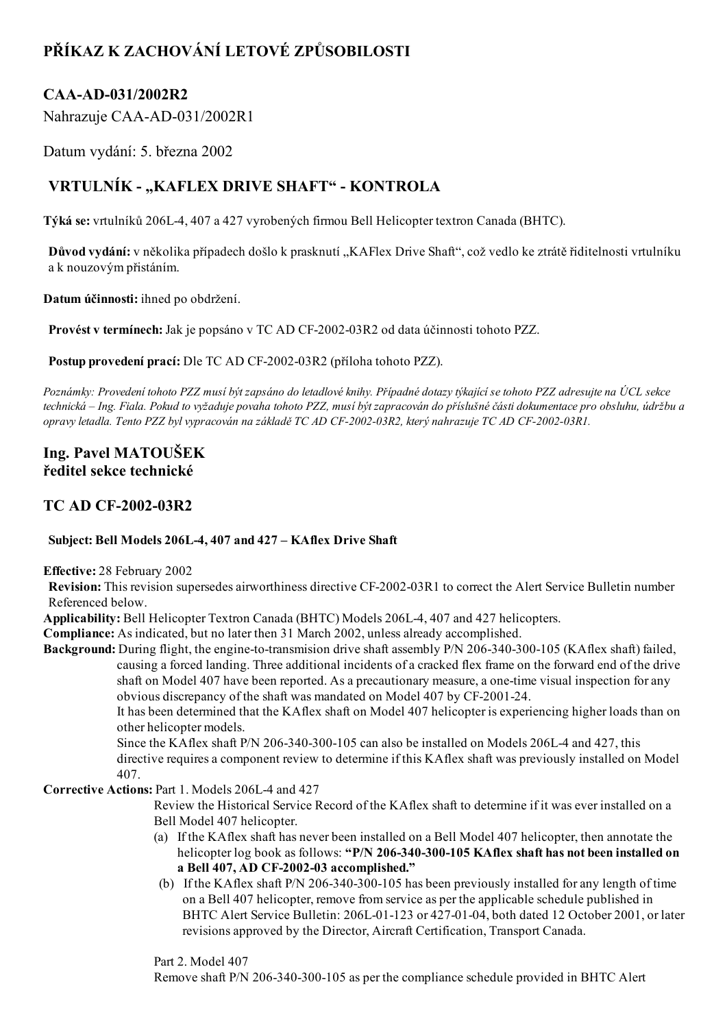# PŘÍKAZ K ZACHOVÁNÍ LETOVÉ ZPŮSOBILOSTI

## CAA-AD-031/2002R2

Nahrazuje CAA-AD-031/2002R1

Datum vydání: 5. března 2002

## VRTULNÍK - "KAFLEX DRIVE SHAFT" - KONTROLA

Týká se: vrtulníků 206L4, 407 a 427 vyrobených firmou Bell Helicopter textron Canada (BHTC).

Důvod vydání: v několika případech došlo k prasknutí "KAFlex Drive Shaft", což vedlo ke ztrátě řiditelnosti vrtulníku a k nouzovým přistáním.

Datum účinnosti: ihned po obdržení.

Provést v termínech: Jak je popsáno v TC AD CF-2002-03R2 od data účinnosti tohoto PZZ.

Postup provedení prací: Dle TC AD CF-2002-03R2 (příloha tohoto PZZ).

Poznámky: Provedení tohoto PZZ musí být zapsáno do letadlové knihy. Případné dotazy týkající se tohoto PZZ adresujte na ÚCL sekce technická – Ing. Fiala. Pokud to vyžaduje povaha tohoto PZZ, musí být zapracován do příslušné části dokumentace pro obsluhu, údržbu a opravy letadla. Tento PZZ byl vypracován na základě TC AD CF-2002-03R2, který nahrazuje TC AD CF-2002-03R1.

### Ing. Pavel MATOUŠEK ředitel sekce technické

### **TC AD CF-2002-03R2**

#### Subject: Bell Models 206L4, 407 and 427 – KAflex Drive Shaft

Effective: 28 February 2002

Revision: This revision supersedes airworthiness directive CF-2002-03R1 to correct the Alert Service Bulletin number Referenced below.

Applicability: Bell Helicopter Textron Canada (BHTC) Models 206L-4, 407 and 427 helicopters.

Compliance: As indicated, but no later then 31 March 2002, unless already accomplished.

Background: During flight, the engine-to-transmision drive shaft assembly P/N 206-340-300-105 (KAflex shaft) failed, causing a forced landing. Three additional incidents of a cracked flex frame on the forward end of the drive shaft on Model 407 have been reported. As a precautionary measure, a one-time visual inspection for any obvious discrepancy of the shaft was mandated on Model 407 by CF-2001-24.

> It has been determined that the KAflex shaft on Model 407 helicopter is experiencing higher loads than on other helicopter models.

> Since the KAflex shaft P/N 206-340-300-105 can also be installed on Models 206L-4 and 427, this directive requires a component review to determine if this KAflex shaft was previously installed on Model 407.

#### Corrective Actions: Part 1. Models 206L4 and 427

Review the Historical Service Record of the KAflex shaft to determine if it was ever installed on a Bell Model 407 helicopter.

- (a) If the KAflex shaft has never been installed on a Bell Model 407 helicopter, then annotate the helicopter log book as follows: "P/N 206-340-300-105 KAflex shaft has not been installed on a Bell 407, AD CF-2002-03 accomplished."
- (b) If the KAflex shaft P/N 206-340-300-105 has been previously installed for any length of time on a Bell 407 helicopter, remove from service as per the applicable schedule published in BHTC Alert Service Bulletin: 206L-01-123 or 427-01-04, both dated 12 October 2001, or later revisions approved by the Director, Aircraft Certification, Transport Canada.

Part 2. Model 407 Remove shaft P/N 206340300105 as per the compliance schedule provided in BHTC Alert